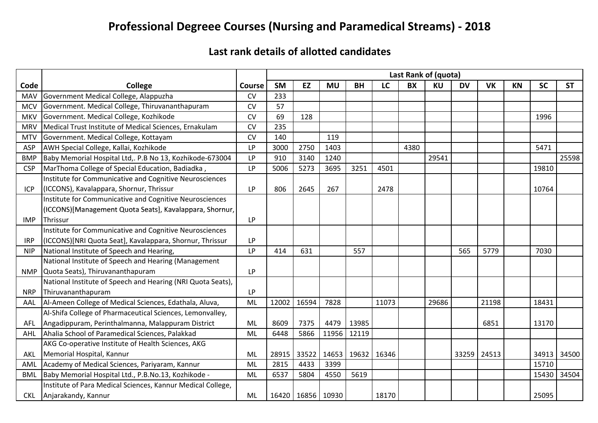## **Professional Degreee Courses (Nursing and Paramedical Streams) - 2018**

## **Last rank details of allotted candidates**

|            |                                                             | Last Rank of (quota)<br><b>SM</b><br><b>EZ</b><br>LC<br><b>BX</b><br><b>KU</b><br><b>DV</b><br><b>SC</b><br><b>MU</b><br><b>BH</b><br><b>VK</b><br><b>KN</b><br><b>ST</b><br><b>Course</b> |       |                       |       |       |       |      |       |     |             |  |       |             |
|------------|-------------------------------------------------------------|--------------------------------------------------------------------------------------------------------------------------------------------------------------------------------------------|-------|-----------------------|-------|-------|-------|------|-------|-----|-------------|--|-------|-------------|
| Code       | College                                                     |                                                                                                                                                                                            |       |                       |       |       |       |      |       |     |             |  |       |             |
| <b>MAV</b> | Government Medical College, Alappuzha                       | CV                                                                                                                                                                                         | 233   |                       |       |       |       |      |       |     |             |  |       |             |
| <b>MCV</b> | Government. Medical College, Thiruvananthapuram             | <b>CV</b>                                                                                                                                                                                  | 57    |                       |       |       |       |      |       |     |             |  |       |             |
| <b>MKV</b> | Government. Medical College, Kozhikode                      | <b>CV</b>                                                                                                                                                                                  | 69    | 128                   |       |       |       |      |       |     |             |  | 1996  |             |
| <b>MRV</b> | Medical Trust Institute of Medical Sciences, Ernakulam      | CV                                                                                                                                                                                         | 235   |                       |       |       |       |      |       |     |             |  |       |             |
| <b>MTV</b> | Government. Medical College, Kottayam                       | <b>CV</b>                                                                                                                                                                                  | 140   |                       | 119   |       |       |      |       |     |             |  |       |             |
| ASP        | AWH Special College, Kallai, Kozhikode                      | <b>LP</b>                                                                                                                                                                                  | 3000  | 2750                  | 1403  |       |       | 4380 |       |     |             |  | 5471  |             |
| <b>BMP</b> | Baby Memorial Hospital Ltd,. P.B No 13, Kozhikode-673004    | <b>LP</b>                                                                                                                                                                                  | 910   | 3140                  | 1240  |       |       |      | 29541 |     |             |  |       | 25598       |
| <b>CSP</b> | MarThoma College of Special Education, Badiadka,            | <b>LP</b>                                                                                                                                                                                  | 5006  | 5273                  | 3695  | 3251  | 4501  |      |       |     |             |  | 19810 |             |
|            | Institute for Communicative and Cognitive Neurosciences     |                                                                                                                                                                                            |       |                       |       |       |       |      |       |     |             |  |       |             |
| <b>ICP</b> | (ICCONS), Kavalappara, Shornur, Thrissur                    | <b>LP</b>                                                                                                                                                                                  | 806   | 2645                  | 267   |       | 2478  |      |       |     |             |  | 10764 |             |
|            | Institute for Communicative and Cognitive Neurosciences     |                                                                                                                                                                                            |       |                       |       |       |       |      |       |     |             |  |       |             |
|            | (ICCONS)[Management Quota Seats], Kavalappara, Shornur,     |                                                                                                                                                                                            |       |                       |       |       |       |      |       |     |             |  |       |             |
| <b>IMP</b> | Thrissur                                                    | <b>LP</b>                                                                                                                                                                                  |       |                       |       |       |       |      |       |     |             |  |       |             |
|            | Institute for Communicative and Cognitive Neurosciences     |                                                                                                                                                                                            |       |                       |       |       |       |      |       |     |             |  |       |             |
| <b>IRP</b> | (ICCONS)[NRI Quota Seat], Kavalappara, Shornur, Thrissur    | <b>LP</b>                                                                                                                                                                                  |       |                       |       |       |       |      |       |     |             |  |       |             |
| <b>NIP</b> | National Institute of Speech and Hearing,                   | <b>LP</b>                                                                                                                                                                                  | 414   | 631                   |       | 557   |       |      |       | 565 | 5779        |  | 7030  |             |
|            | National Institute of Speech and Hearing (Management        |                                                                                                                                                                                            |       |                       |       |       |       |      |       |     |             |  |       |             |
| <b>NMP</b> | Quota Seats), Thiruvananthapuram                            | <b>LP</b>                                                                                                                                                                                  |       |                       |       |       |       |      |       |     |             |  |       |             |
|            | National Institute of Speech and Hearing (NRI Quota Seats), |                                                                                                                                                                                            |       |                       |       |       |       |      |       |     |             |  |       |             |
| <b>NRP</b> | Thiruvananthapuram                                          | <b>LP</b>                                                                                                                                                                                  |       |                       |       |       |       |      |       |     |             |  |       |             |
| AAL        | Al-Ameen College of Medical Sciences, Edathala, Aluva,      | ML                                                                                                                                                                                         | 12002 | 16594                 | 7828  |       | 11073 |      | 29686 |     | 21198       |  | 18431 |             |
|            | Al-Shifa College of Pharmaceutical Sciences, Lemonvalley,   |                                                                                                                                                                                            |       |                       |       |       |       |      |       |     |             |  |       |             |
| <b>AFL</b> | Angadippuram, Perinthalmanna, Malappuram District           | ML                                                                                                                                                                                         | 8609  | 7375                  | 4479  | 13985 |       |      |       |     | 6851        |  | 13170 |             |
| AHL        | Ahalia School of Paramedical Sciences, Palakkad             | ML                                                                                                                                                                                         | 6448  | 5866                  | 11956 | 12119 |       |      |       |     |             |  |       |             |
|            | AKG Co-operative Institute of Health Sciences, AKG          |                                                                                                                                                                                            |       |                       |       |       |       |      |       |     |             |  |       |             |
| AKL        | Memorial Hospital, Kannur                                   | ML                                                                                                                                                                                         | 28915 | 33522                 | 14653 | 19632 | 16346 |      |       |     | 33259 24513 |  |       | 34913 34500 |
| AML        | Academy of Medical Sciences, Pariyaram, Kannur              | ML                                                                                                                                                                                         | 2815  | 4433                  | 3399  |       |       |      |       |     |             |  | 15710 |             |
| <b>BML</b> | Baby Memorial Hospital Ltd., P.B.No.13, Kozhikode -         | ML                                                                                                                                                                                         | 6537  | 5804                  | 4550  | 5619  |       |      |       |     |             |  | 15430 | 34504       |
|            | Institute of Para Medical Sciences, Kannur Medical College, |                                                                                                                                                                                            |       |                       |       |       |       |      |       |     |             |  |       |             |
|            | CKL Anjarakandy, Kannur                                     | ML                                                                                                                                                                                         |       | 16420   16856   10930 |       |       | 18170 |      |       |     |             |  | 25095 |             |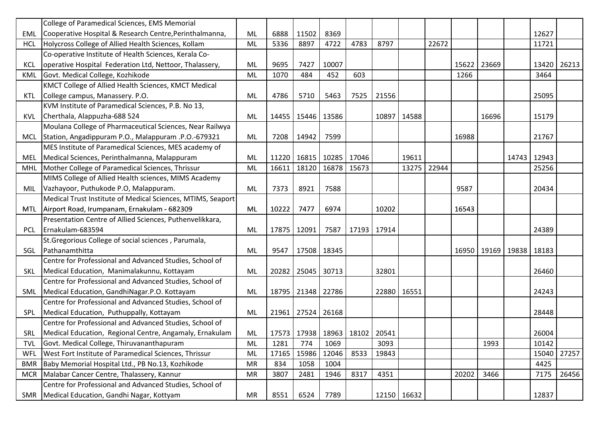|            | College of Paramedical Sciences, EMS Memorial                 |           |       |                                       |       |       |       |             |       |       |             |       |       |             |
|------------|---------------------------------------------------------------|-----------|-------|---------------------------------------|-------|-------|-------|-------------|-------|-------|-------------|-------|-------|-------------|
| EML        | Cooperative Hospital & Research Centre, Perinthalmanna,       | ML        | 6888  | 11502                                 | 8369  |       |       |             |       |       |             |       | 12627 |             |
| <b>HCL</b> | Holycross College of Allied Health Sciences, Kollam           | ML        | 5336  | 8897                                  | 4722  | 4783  | 8797  |             | 22672 |       |             |       | 11721 |             |
|            | Co-operative Institute of Health Sciences, Kerala Co-         |           |       |                                       |       |       |       |             |       |       |             |       |       |             |
| <b>KCL</b> | operative Hospital Federation Ltd, Nettoor, Thalassery,       | ML        | 9695  | 7427                                  | 10007 |       |       |             |       | 15622 | 23669       |       |       | 13420 26213 |
| <b>KML</b> | Govt. Medical College, Kozhikode                              | ML        | 1070  | 484                                   | 452   | 603   |       |             |       | 1266  |             |       | 3464  |             |
|            | KMCT College of Allied Health Sciences, KMCT Medical          |           |       |                                       |       |       |       |             |       |       |             |       |       |             |
| KTL        | College campus, Manassery. P.O.                               | <b>ML</b> | 4786  | 5710                                  | 5463  | 7525  | 21556 |             |       |       |             |       | 25095 |             |
|            | KVM Institute of Paramedical Sciences, P.B. No 13,            |           |       |                                       |       |       |       |             |       |       |             |       |       |             |
| KVL        | Cherthala, Alappuzha-688 524                                  | ML        | 14455 | 15446                                 | 13586 |       | 10897 | 14588       |       |       | 16696       |       | 15179 |             |
|            | Moulana College of Pharmaceutical Sciences, Near Railwya      |           |       |                                       |       |       |       |             |       |       |             |       |       |             |
| MCL        | Station, Angadippuram P.O., Malappuram .P.O.-679321           | <b>ML</b> | 7208  | 14942                                 | 7599  |       |       |             |       | 16988 |             |       | 21767 |             |
|            | MES Institute of Paramedical Sciences, MES academy of         |           |       |                                       |       |       |       |             |       |       |             |       |       |             |
| MEL        | Medical Sciences, Perinthalmanna, Malappuram                  | ML        |       | 11220 16815                           | 10285 | 17046 |       | 19611       |       |       |             | 14743 | 12943 |             |
| MHL        | Mother College of Paramedical Sciences, Thrissur              | ML        | 16611 | 18120                                 | 16878 | 15673 |       | 13275       | 22944 |       |             |       | 25256 |             |
|            | MIMS College of Allied Health sciences, MIMS Academy          |           |       |                                       |       |       |       |             |       |       |             |       |       |             |
| MIL        | Vazhayoor, Puthukode P.O, Malappuram.                         | <b>ML</b> | 7373  | 8921                                  | 7588  |       |       |             |       | 9587  |             |       | 20434 |             |
|            | Medical Trust Institute of Medical Sciences, MTIMS, Seaport   |           |       |                                       |       |       |       |             |       |       |             |       |       |             |
|            | MTL   Airport Road, Irumpanam, Ernakulam - 682309             | ML        | 10222 | 7477                                  | 6974  |       | 10202 |             |       | 16543 |             |       |       |             |
|            | Presentation Centre of Allied Sciences, Puthenvelikkara,      |           |       |                                       |       |       |       |             |       |       |             |       |       |             |
| <b>PCL</b> | Ernakulam-683594                                              | ML        | 17875 | 12091                                 | 7587  | 17193 | 17914 |             |       |       |             |       | 24389 |             |
|            | St. Gregorious College of social sciences, Parumala,          |           |       |                                       |       |       |       |             |       |       |             |       |       |             |
| SGL        | Pathanamthitta                                                | ML        | 9547  | 17508                                 | 18345 |       |       |             |       |       | 16950 19169 | 19838 | 18183 |             |
|            | Centre for Professional and Advanced Studies, School of       |           |       |                                       |       |       |       |             |       |       |             |       |       |             |
| SKL        | Medical Education, Manimalakunnu, Kottayam                    | ML        | 20282 | 25045                                 | 30713 |       | 32801 |             |       |       |             |       | 26460 |             |
|            | Centre for Professional and Advanced Studies, School of       |           |       |                                       |       |       |       |             |       |       |             |       |       |             |
| SML        | Medical Education, GandhiNagar.P.O. Kottayam                  | ML        | 18795 | 21348                                 | 22786 |       |       | 22880 16551 |       |       |             |       | 24243 |             |
|            | Centre for Professional and Advanced Studies, School of       |           |       |                                       |       |       |       |             |       |       |             |       |       |             |
| <b>SPL</b> | Medical Education, Puthuppally, Kottayam                      | ML        | 21961 | 27524                                 | 26168 |       |       |             |       |       |             |       | 28448 |             |
|            | Centre for Professional and Advanced Studies, School of       |           |       |                                       |       |       |       |             |       |       |             |       |       |             |
|            | SRL   Medical Education, Regional Centre, Angamaly, Ernakulam | ML        |       | 17573   17938   18963   18102   20541 |       |       |       |             |       |       |             |       | 26004 |             |
| <b>TVL</b> | Govt. Medical College, Thiruvananthapuram                     | ML        | 1281  | 774                                   | 1069  |       | 3093  |             |       |       | 1993        |       | 10142 |             |
| WFL        | West Fort Institute of Paramedical Sciences, Thrissur         | ML        | 17165 | 15986                                 | 12046 | 8533  | 19843 |             |       |       |             |       | 15040 | 27257       |
| <b>BMR</b> | Baby Memorial Hospital Ltd., PB No.13, Kozhikode              | <b>MR</b> | 834   | 1058                                  | 1004  |       |       |             |       |       |             |       | 4425  |             |
| <b>MCR</b> | Malabar Cancer Centre, Thalassery, Kannur                     | <b>MR</b> | 3807  | 2481                                  | 1946  | 8317  | 4351  |             |       | 20202 | 3466        |       | 7175  | 26456       |
|            | Centre for Professional and Advanced Studies, School of       |           |       |                                       |       |       |       |             |       |       |             |       |       |             |
|            | SMR   Medical Education, Gandhi Nagar, Kottyam                | MR        | 8551  | 6524                                  | 7789  |       |       | 12150 16632 |       |       |             |       | 12837 |             |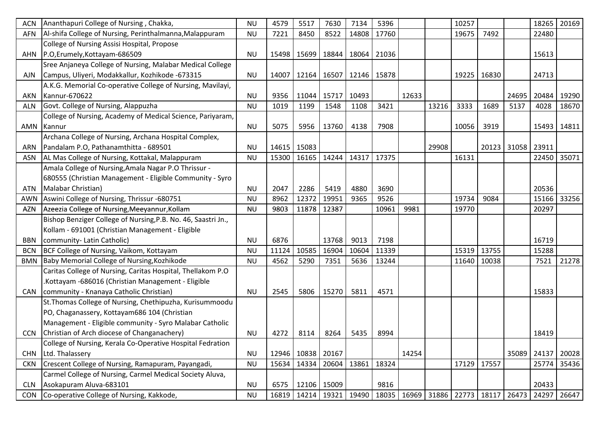| <b>ACN</b> | Ananthapuri College of Nursing, Chakka,                       | <b>NU</b> | 4579  | 5517  | 7630                          | 7134  | 5396  |       |                                       | 10257 |       |                   | 18265 | 20169 |
|------------|---------------------------------------------------------------|-----------|-------|-------|-------------------------------|-------|-------|-------|---------------------------------------|-------|-------|-------------------|-------|-------|
| AFN        | Al-shifa College of Nursing, Perinthalmanna, Malappuram       | <b>NU</b> | 7221  | 8450  | 8522                          | 14808 | 17760 |       |                                       | 19675 | 7492  |                   | 22480 |       |
|            | College of Nursing Assisi Hospital, Propose                   |           |       |       |                               |       |       |       |                                       |       |       |                   |       |       |
|            | AHN P.O, Erumely, Kottayam-686509                             | <b>NU</b> | 15498 |       | 15699   18844   18064         |       | 21036 |       |                                       |       |       |                   | 15613 |       |
|            | Sree Anjaneya College of Nursing, Malabar Medical College     |           |       |       |                               |       |       |       |                                       |       |       |                   |       |       |
| AJN        | Campus, Uliyeri, Modakkallur, Kozhikode -673315               | <b>NU</b> | 14007 |       | 12164   16507   12146   15878 |       |       |       |                                       | 19225 | 16830 |                   | 24713 |       |
|            | A.K.G. Memorial Co-operative College of Nursing, Mavilayi,    |           |       |       |                               |       |       |       |                                       |       |       |                   |       |       |
| AKN        | Kannur-670622                                                 | <b>NU</b> | 9356  | 11044 | 15717                         | 10493 |       | 12633 |                                       |       |       | 24695             | 20484 | 19290 |
| <b>ALN</b> | Govt. College of Nursing, Alappuzha                           | <b>NU</b> | 1019  | 1199  | 1548                          | 1108  | 3421  |       | 13216                                 | 3333  | 1689  | 5137              | 4028  | 18670 |
|            | College of Nursing, Academy of Medical Science, Pariyaram,    |           |       |       |                               |       |       |       |                                       |       |       |                   |       |       |
|            | AMN Kannur                                                    | <b>NU</b> | 5075  | 5956  | 13760                         | 4138  | 7908  |       |                                       | 10056 | 3919  |                   | 15493 | 14811 |
|            | Archana College of Nursing, Archana Hospital Complex,         |           |       |       |                               |       |       |       |                                       |       |       |                   |       |       |
| ARN        | Pandalam P.O, Pathanamthitta - 689501                         | <b>NU</b> | 14615 | 15083 |                               |       |       |       | 29908                                 |       |       | 20123 31058 23911 |       |       |
| ASN        | AL Mas College of Nursing, Kottakal, Malappuram               | <b>NU</b> | 15300 | 16165 | 14244                         | 14317 | 17375 |       |                                       | 16131 |       |                   | 22450 | 35071 |
|            | Amala College of Nursing, Amala Nagar P.O Thrissur -          |           |       |       |                               |       |       |       |                                       |       |       |                   |       |       |
|            | 680555 (Christian Management - Eligible Community - Syro      |           |       |       |                               |       |       |       |                                       |       |       |                   |       |       |
| ATN        | Malabar Christian)                                            | <b>NU</b> | 2047  | 2286  | 5419                          | 4880  | 3690  |       |                                       |       |       |                   | 20536 |       |
| <b>AWN</b> | Aswini College of Nursing, Thrissur -680751                   | <b>NU</b> | 8962  | 12372 | 19951                         | 9365  | 9526  |       |                                       | 19734 | 9084  |                   | 15166 | 33256 |
| <b>AZN</b> | Azeezia College of Nursing, Meeyannur, Kollam                 | <b>NU</b> | 9803  | 11878 | 12387                         |       | 10961 | 9981  |                                       | 19770 |       |                   | 20297 |       |
|            | Bishop Benziger College of Nursing, P.B. No. 46, Saastri Jn., |           |       |       |                               |       |       |       |                                       |       |       |                   |       |       |
|            | Kollam - 691001 (Christian Management - Eligible              |           |       |       |                               |       |       |       |                                       |       |       |                   |       |       |
| <b>BBN</b> | community- Latin Catholic)                                    | <b>NU</b> | 6876  |       | 13768                         | 9013  | 7198  |       |                                       |       |       |                   | 16719 |       |
| <b>BCN</b> | BCF College of Nursing, Vaikom, Kottayam                      | <b>NU</b> | 11124 | 10585 | 16904                         | 10604 | 11339 |       |                                       | 15319 | 13755 |                   | 15288 |       |
| <b>BMN</b> | Baby Memorial College of Nursing, Kozhikode                   | <b>NU</b> | 4562  | 5290  | 7351                          | 5636  | 13244 |       |                                       | 11640 | 10038 |                   | 7521  | 21278 |
|            | Caritas College of Nursing, Caritas Hospital, Thellakom P.O   |           |       |       |                               |       |       |       |                                       |       |       |                   |       |       |
|            | Kottayam -686016 (Christian Management - Eligible             |           |       |       |                               |       |       |       |                                       |       |       |                   |       |       |
|            | CAN   community - Knanaya Catholic Christian)                 | <b>NU</b> | 2545  | 5806  | 15270                         | 5811  | 4571  |       |                                       |       |       |                   | 15833 |       |
|            | St. Thomas College of Nursing, Chethipuzha, Kurisummoodu      |           |       |       |                               |       |       |       |                                       |       |       |                   |       |       |
|            | PO, Chaganassery, Kottayam686 104 (Christian                  |           |       |       |                               |       |       |       |                                       |       |       |                   |       |       |
|            | Management - Eligible community - Syro Malabar Catholic       |           |       |       |                               |       |       |       |                                       |       |       |                   |       |       |
|            | CCN Christian of Arch diocese of Changanachery)               | <b>NU</b> | 4272  | 8114  | 8264                          | 5435  | 8994  |       |                                       |       |       |                   | 18419 |       |
|            | College of Nursing, Kerala Co-Operative Hospital Fedration    |           |       |       |                               |       |       |       |                                       |       |       |                   |       |       |
| <b>CHN</b> | Ltd. Thalassery                                               | <b>NU</b> | 12946 |       | 10838 20167                   |       |       | 14254 |                                       |       |       | 35089             | 24137 | 20028 |
| <b>CKN</b> | Crescent College of Nursing, Ramapuram, Payangadi,            | <b>NU</b> | 15634 | 14334 | 20604                         | 13861 | 18324 |       |                                       | 17129 | 17557 |                   | 25774 | 35436 |
|            | Carmel College of Nursing, Carmel Medical Society Aluva,      |           |       |       |                               |       |       |       |                                       |       |       |                   |       |       |
| <b>CLN</b> | Asokapuram Aluva-683101                                       | <b>NU</b> | 6575  |       | 12106 15009                   |       | 9816  |       |                                       |       |       |                   | 20433 |       |
| <b>CON</b> | Co-operative College of Nursing, Kakkode,                     | <b>NU</b> | 16819 |       | 14214 19321 19490             |       |       |       | 18035   16969   31886   22773   18117 |       |       | 26473             | 24297 | 26647 |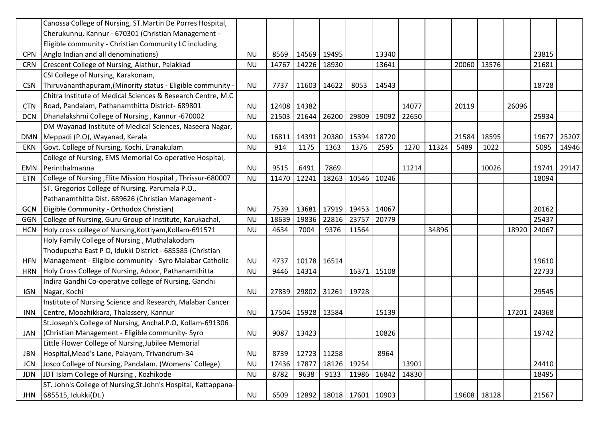|            | Canossa College of Nursing, ST. Martin De Porres Hospital,      |           |       |       |                               |       |       |       |       |       |             |       |       |       |
|------------|-----------------------------------------------------------------|-----------|-------|-------|-------------------------------|-------|-------|-------|-------|-------|-------------|-------|-------|-------|
|            | Cherukunnu, Kannur - 670301 (Christian Management -             |           |       |       |                               |       |       |       |       |       |             |       |       |       |
|            | Eligible community - Christian Community LC including           |           |       |       |                               |       |       |       |       |       |             |       |       |       |
| <b>CPN</b> | Anglo Indian and all denominations)                             | <b>NU</b> | 8569  |       | 14569 19495                   |       | 13340 |       |       |       |             |       | 23815 |       |
| <b>CRN</b> | Crescent College of Nursing, Alathur, Palakkad                  | <b>NU</b> | 14767 | 14226 | 18930                         |       | 13641 |       |       | 20060 | 13576       |       | 21681 |       |
|            | CSI College of Nursing, Karakonam,                              |           |       |       |                               |       |       |       |       |       |             |       |       |       |
| <b>CSN</b> | Thiruvananthapuram, (Minority status - Eligible community -     | <b>NU</b> | 7737  |       | 11603 14622                   | 8053  | 14543 |       |       |       |             |       | 18728 |       |
|            | Chitra Institute of Medical Sciences & Research Centre, M.C     |           |       |       |                               |       |       |       |       |       |             |       |       |       |
| <b>CTN</b> | Road, Pandalam, Pathanamthitta District- 689801                 | <b>NU</b> | 12408 | 14382 |                               |       |       | 14077 |       | 20119 |             | 26096 |       |       |
| <b>DCN</b> | Dhanalakshmi College of Nursing, Kannur -670002                 | <b>NU</b> | 21503 | 21644 | 26200                         | 29809 | 19092 | 22650 |       |       |             |       | 25934 |       |
|            | DM Wayanad Institute of Medical Sciences, Naseera Nagar,        |           |       |       |                               |       |       |       |       |       |             |       |       |       |
|            | DMN   Meppadi (P.O), Wayanad, Kerala                            | <b>NU</b> | 16811 | 14391 | 20380                         | 15394 | 18720 |       |       | 21584 | 18595       |       | 19677 | 25207 |
| <b>EKN</b> | Govt. College of Nursing, Kochi, Eranakulam                     | <b>NU</b> | 914   | 1175  | 1363                          | 1376  | 2595  | 1270  | 11324 | 5489  | 1022        |       | 5095  | 14946 |
|            | College of Nursing, EMS Memorial Co-operative Hospital,         |           |       |       |                               |       |       |       |       |       |             |       |       |       |
| EMN        | Perinthalmanna                                                  | <b>NU</b> | 9515  | 6491  | 7869                          |       |       | 11214 |       |       | 10026       |       | 19741 | 29147 |
| <b>ETN</b> | College of Nursing, Elite Mission Hospital, Thrissur-680007     | <b>NU</b> | 11470 | 12241 | 18263                         | 10546 | 10246 |       |       |       |             |       | 18094 |       |
|            | ST. Gregorios College of Nursing, Parumala P.O.,                |           |       |       |                               |       |       |       |       |       |             |       |       |       |
|            | Pathanamthitta Dist. 689626 (Christian Management -             |           |       |       |                               |       |       |       |       |       |             |       |       |       |
| <b>GCN</b> | Eligible Community - Orthodox Christian)                        | <b>NU</b> | 7539  |       | 13681   17919   19453   14067 |       |       |       |       |       |             |       | 20162 |       |
| GGN        | College of Nursing, Guru Group of Institute, Karukachal,        | <b>NU</b> | 18639 | 19836 | 22816                         | 23757 | 20779 |       |       |       |             |       | 25437 |       |
| <b>HCN</b> | Holy cross college of Nursing, Kottiyam, Kollam-691571          | <b>NU</b> | 4634  | 7004  | 9376                          | 11564 |       |       | 34896 |       |             | 18920 | 24067 |       |
|            | Holy Family College of Nursing, Muthalakodam                    |           |       |       |                               |       |       |       |       |       |             |       |       |       |
|            | Thodupuzha East P O, Idukki District - 685585 (Christian        |           |       |       |                               |       |       |       |       |       |             |       |       |       |
| <b>HFN</b> | Management - Eligible community - Syro Malabar Catholic         | <b>NU</b> | 4737  |       | 10178 16514                   |       |       |       |       |       |             |       | 19610 |       |
| <b>HRN</b> | Holy Cross College of Nursing, Adoor, Pathanamthitta            | <b>NU</b> | 9446  | 14314 |                               | 16371 | 15108 |       |       |       |             |       | 22733 |       |
|            | Indira Gandhi Co-operative college of Nursing, Gandhi           |           |       |       |                               |       |       |       |       |       |             |       |       |       |
| <b>IGN</b> | Nagar, Kochi                                                    | <b>NU</b> | 27839 |       | 29802 31261 19728             |       |       |       |       |       |             |       | 29545 |       |
|            | Institute of Nursing Science and Research, Malabar Cancer       |           |       |       |                               |       |       |       |       |       |             |       |       |       |
| <b>INN</b> | Centre, Moozhikkara, Thalassery, Kannur                         | <b>NU</b> | 17504 |       | 15928 13584                   |       | 15139 |       |       |       |             | 17201 | 24368 |       |
|            | St.Joseph's College of Nursing, Anchal.P.O, Kollam-691306       |           |       |       |                               |       |       |       |       |       |             |       |       |       |
| JAN        | (Christian Management - Eligible community-Syro                 | <b>NU</b> | 9087  | 13423 |                               |       | 10826 |       |       |       |             |       | 19742 |       |
|            | Little Flower College of Nursing, Jubilee Memorial              |           |       |       |                               |       |       |       |       |       |             |       |       |       |
| <b>JBN</b> | Hospital, Mead's Lane, Palayam, Trivandrum-34                   | <b>NU</b> | 8739  |       | 12723 11258                   |       | 8964  |       |       |       |             |       |       |       |
| <b>JCN</b> | Josco College of Nursing, Pandalam. (Womens' College)           | <b>NU</b> | 17436 | 17877 | 18126                         | 19254 |       | 13901 |       |       |             |       | 24410 |       |
| <b>JDN</b> | JDT Islam College of Nursing, Kozhikode                         | <b>NU</b> | 8782  | 9638  | 9133                          | 11986 | 16842 | 14830 |       |       |             |       | 18495 |       |
|            | ST. John's College of Nursing, St. John's Hospital, Kattappana- |           |       |       |                               |       |       |       |       |       |             |       |       |       |
|            | JHN 685515, Idukki(Dt.)                                         | <b>NU</b> | 6509  |       | 12892   18018   17601   10903 |       |       |       |       |       | 19608 18128 |       | 21567 |       |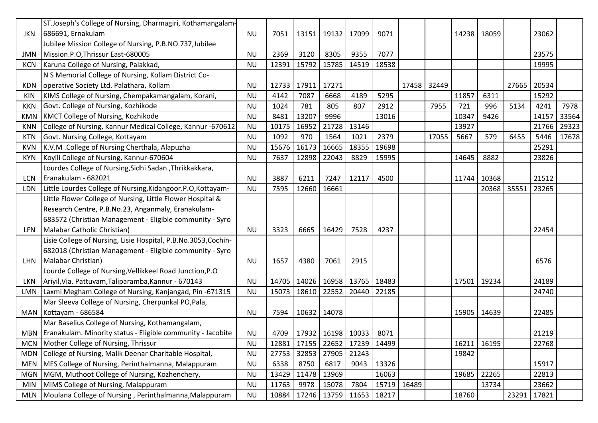|            | ST.Joseph's College of Nursing, Dharmagiri, Kothamangalam-        |           |       |                              |       |                   |       |       |             |       |             |       |       |       |
|------------|-------------------------------------------------------------------|-----------|-------|------------------------------|-------|-------------------|-------|-------|-------------|-------|-------------|-------|-------|-------|
| JKN        | 686691, Ernakulam                                                 | <b>NU</b> | 7051  | 13151                        | 19132 | 17099             | 9071  |       |             |       | 14238 18059 |       | 23062 |       |
|            | Jubilee Mission College of Nursing, P.B.NO.737, Jubilee           |           |       |                              |       |                   |       |       |             |       |             |       |       |       |
| <b>JMN</b> | Mission.P.O, Thrissur East-680005                                 | <b>NU</b> | 2369  | 3120                         | 8305  | 9355              | 7077  |       |             |       |             |       | 23575 |       |
| <b>KCN</b> | Karuna College of Nursing, Palakkad,                              | <b>NU</b> | 12391 | 15792                        | 15785 | 14519             | 18538 |       |             |       |             |       | 19995 |       |
|            | N S Memorial College of Nursing, Kollam District Co-              |           |       |                              |       |                   |       |       |             |       |             |       |       |       |
| <b>KDN</b> | operative Society Ltd. Palathara, Kollam                          | <b>NU</b> | 12733 | 17911                        | 17271 |                   |       |       | 17458 32449 |       |             | 27665 | 20534 |       |
| <b>KIN</b> | KIMS College of Nursing, Chempakamangalam, Korani,                | <b>NU</b> | 4142  | 7087                         | 6668  | 4189              | 5295  |       |             | 11857 | 6311        |       | 15292 |       |
| <b>KKN</b> | Govt. College of Nursing, Kozhikode                               | <b>NU</b> | 1024  | 781                          | 805   | 807               | 2912  |       | 7955        | 721   | 996         | 5134  | 4241  | 7978  |
| <b>KMN</b> | KMCT College of Nursing, Kozhikode                                | <b>NU</b> | 8481  | 13207                        | 9996  |                   | 13016 |       |             | 10347 | 9426        |       | 14157 | 33564 |
| <b>KNN</b> | College of Nursing, Kannur Medical College, Kannur -670612        | <b>NU</b> | 10175 | 16952                        | 21728 | 13146             |       |       |             | 13927 |             |       | 21766 | 29323 |
| <b>KTN</b> | Govt. Nursing College, Kottayam                                   | <b>NU</b> | 1092  | 970                          | 1564  | 1021              | 2379  |       | 17055       | 5667  | 579         | 6455  | 5446  | 17678 |
| <b>KVN</b> | K.V.M . College of Nursing Cherthala, Alapuzha                    | <b>NU</b> | 15676 | 16173                        | 16665 | 18355             | 19698 |       |             |       |             |       | 25291 |       |
| <b>KYN</b> | Koyili College of Nursing, Kannur-670604                          | <b>NU</b> | 7637  | 12898                        | 22043 | 8829              | 15995 |       |             | 14645 | 8882        |       | 23826 |       |
|            | Lourdes College of Nursing, Sidhi Sadan, Thrikkakkara,            |           |       |                              |       |                   |       |       |             |       |             |       |       |       |
| <b>LCN</b> | Eranakulam - 682021                                               | <b>NU</b> | 3887  | 6211                         | 7247  | 12117             | 4500  |       |             |       | 11744 10368 |       | 21512 |       |
| LDN        | Little Lourdes College of Nursing, Kidangoor.P.O, Kottayam-       | <b>NU</b> | 7595  | 12660                        | 16661 |                   |       |       |             |       | 20368       | 35551 | 23265 |       |
|            | Little Flower College of Nursing, Little Flower Hospital &        |           |       |                              |       |                   |       |       |             |       |             |       |       |       |
|            | Research Centre, P.B.No.23, Anganmaly, Eranakulam-                |           |       |                              |       |                   |       |       |             |       |             |       |       |       |
|            | 683572 (Christian Management - Eligible community - Syro          |           |       |                              |       |                   |       |       |             |       |             |       |       |       |
| LFN        | Malabar Catholic Christian)                                       | <b>NU</b> | 3323  | 6665                         | 16429 | 7528              | 4237  |       |             |       |             |       | 22454 |       |
|            | Lisie College of Nursing, Lisie Hospital, P.B.No.3053,Cochin-     |           |       |                              |       |                   |       |       |             |       |             |       |       |       |
|            | 682018 (Christian Management - Eligible community - Syro          |           |       |                              |       |                   |       |       |             |       |             |       |       |       |
| LHN        | Malabar Christian)                                                | <b>NU</b> | 1657  | 4380                         | 7061  | 2915              |       |       |             |       |             |       | 6576  |       |
|            | Lourde College of Nursing, Vellikkeel Road Junction, P.O          |           |       |                              |       |                   |       |       |             |       |             |       |       |       |
| LKN        | Ariyil, Via. Pattuvam, Taliparamba, Kannur - 670143               | <b>NU</b> | 14705 | 14026                        |       | 16958 13765 18483 |       |       |             |       | 17501 19234 |       | 24189 |       |
| LMN        | Laxmi Megham College of Nursing, Kanjangad, Pin-671315            | <b>NU</b> | 15073 | 18610                        | 22552 | 20440             | 22185 |       |             |       |             |       | 24740 |       |
|            | Mar Sleeva College of Nursing, Cherpunkal PO, Pala,               |           |       |                              |       |                   |       |       |             |       |             |       |       |       |
|            | MAN Kottayam - 686584                                             | <b>NU</b> | 7594  | 10632                        | 14078 |                   |       |       |             |       | 15905 14639 |       | 22485 |       |
|            | Mar Baselius College of Nursing, Kothamangalam,                   |           |       |                              |       |                   |       |       |             |       |             |       |       |       |
|            | MBN   Eranakulam. Minority status - Eligible community - Jacobite | <b>NU</b> | 4709  | 17932   16198   10033   8071 |       |                   |       |       |             |       |             |       | 21219 |       |
| <b>MCN</b> | Mother College of Nursing, Thrissur                               | <b>NU</b> | 12881 | 17155                        | 22652 | 17239             | 14499 |       |             |       | 16211 16195 |       | 22768 |       |
| <b>MDN</b> | College of Nursing, Malik Deenar Charitable Hospital,             | <b>NU</b> | 27753 | 32853                        | 27905 | 21243             |       |       |             | 19842 |             |       |       |       |
| <b>MEN</b> | MES College of Nursing, Perinthalmanna, Malappuram                | <b>NU</b> | 6338  | 8750                         | 6817  | 9043              | 13326 |       |             |       |             |       | 15917 |       |
| <b>MGN</b> | MGM, Muthoot College of Nursing, Kozhenchery,                     | <b>NU</b> | 13429 | 11478                        | 13969 |                   | 16063 |       |             |       | 19685 22265 |       | 22813 |       |
| <b>MIN</b> | MIMS College of Nursing, Malappuram                               | <b>NU</b> | 11763 | 9978                         | 15078 | 7804              | 15719 | 16489 |             |       | 13734       |       | 23662 |       |
| <b>MLN</b> | Moulana College of Nursing, Perinthalmanna, Malappuram            | <b>NU</b> | 10884 | 17246                        | 13759 | 11653             | 18217 |       |             | 18760 |             | 23291 | 17821 |       |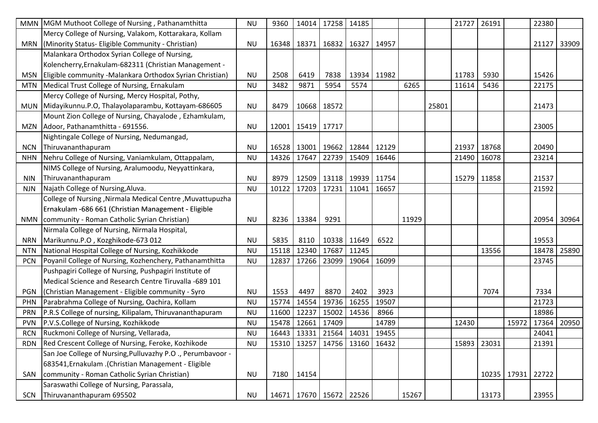|            | MMN   MGM Muthoot College of Nursing, Pathanamthitta         | <b>NU</b> | 9360  | 14014                                 | 17258 | 14185                         |             |       |       | 21727 | 26191       |       | 22380 |       |
|------------|--------------------------------------------------------------|-----------|-------|---------------------------------------|-------|-------------------------------|-------------|-------|-------|-------|-------------|-------|-------|-------|
|            | Mercy College of Nursing, Valakom, Kottarakara, Kollam       |           |       |                                       |       |                               |             |       |       |       |             |       |       |       |
|            | MRN   (Minority Status- Eligible Community - Christian)      | <b>NU</b> | 16348 | 18371                                 | 16832 | 16327 14957                   |             |       |       |       |             |       | 21127 | 33909 |
|            | Malankara Orthodox Syrian College of Nursing,                |           |       |                                       |       |                               |             |       |       |       |             |       |       |       |
|            | Kolencherry, Ernakulam-682311 (Christian Management -        |           |       |                                       |       |                               |             |       |       |       |             |       |       |       |
|            | MSN Eligible community -Malankara Orthodox Syrian Christian) | <b>NU</b> | 2508  | 6419                                  | 7838  |                               | 13934 11982 |       |       | 11783 | 5930        |       | 15426 |       |
|            | MTN   Medical Trust College of Nursing, Ernakulam            | <b>NU</b> | 3482  | 9871                                  | 5954  | 5574                          |             | 6265  |       | 11614 | 5436        |       | 22175 |       |
|            | Mercy College of Nursing, Mercy Hospital, Pothy,             |           |       |                                       |       |                               |             |       |       |       |             |       |       |       |
|            | MUN Midayikunnu.P.O, Thalayolaparambu, Kottayam-686605       | <b>NU</b> | 8479  | 10668                                 | 18572 |                               |             |       | 25801 |       |             |       | 21473 |       |
|            | Mount Zion College of Nursing, Chayalode, Ezhamkulam,        |           |       |                                       |       |                               |             |       |       |       |             |       |       |       |
|            | MZN Adoor, Pathanamthitta - 691556.                          | <b>NU</b> | 12001 | 15419 17717                           |       |                               |             |       |       |       |             |       | 23005 |       |
|            | Nightingale College of Nursing, Nedumangad,                  |           |       |                                       |       |                               |             |       |       |       |             |       |       |       |
|            | NCN Thiruvananthapuram                                       | <b>NU</b> | 16528 | 13001                                 | 19662 | 12844 12129                   |             |       |       | 21937 | 18768       |       | 20490 |       |
| <b>NHN</b> | Nehru College of Nursing, Vaniamkulam, Ottappalam,           | <b>NU</b> | 14326 | 17647                                 | 22739 | 15409 16446                   |             |       |       | 21490 | 16078       |       | 23214 |       |
|            | NIMS College of Nursing, Aralumoodu, Neyyattinkara,          |           |       |                                       |       |                               |             |       |       |       |             |       |       |       |
| <b>NIN</b> | Thiruvananthapuram                                           | <b>NU</b> | 8979  |                                       |       | 12509   13118   19939   11754 |             |       |       | 15279 | 11858       |       | 21537 |       |
| <b>NJN</b> | Najath College of Nursing, Aluva.                            | <b>NU</b> | 10122 | 17203                                 | 17231 | 11041                         | 16657       |       |       |       |             |       | 21592 |       |
|            | College of Nursing, Nirmala Medical Centre, Muvattupuzha     |           |       |                                       |       |                               |             |       |       |       |             |       |       |       |
|            | Ernakulam -686 661 (Christian Management - Eligible          |           |       |                                       |       |                               |             |       |       |       |             |       |       |       |
|            | NMN   community - Roman Catholic Syrian Christian)           | <b>NU</b> | 8236  | 13384                                 | 9291  |                               |             | 11929 |       |       |             |       | 20954 | 30964 |
|            | Nirmala College of Nursing, Nirmala Hospital,                |           |       |                                       |       |                               |             |       |       |       |             |       |       |       |
| <b>NRN</b> | Marikunnu.P.O, Kozghikode-673 012                            | <b>NU</b> | 5835  | 8110                                  |       | 10338 11649                   | 6522        |       |       |       |             |       | 19553 |       |
| <b>NTN</b> | National Hospital College of Nursing, Kozhikkode             | <b>NU</b> | 15118 | 12340                                 | 17687 | 11245                         |             |       |       |       | 13556       |       | 18478 | 25890 |
| <b>PCN</b> | Poyanil College of Nursing, Kozhenchery, Pathanamthitta      | <b>NU</b> | 12837 | 17266                                 | 23099 | 19064                         | 16099       |       |       |       |             |       | 23745 |       |
|            | Pushpagiri College of Nursing, Pushpagiri Institute of       |           |       |                                       |       |                               |             |       |       |       |             |       |       |       |
|            | Medical Science and Research Centre Tiruvalla -689 101       |           |       |                                       |       |                               |             |       |       |       |             |       |       |       |
|            | PGN   (Christian Management - Eligible community - Syro      | <b>NU</b> | 1553  | 4497                                  | 8870  | 2402                          | 3923        |       |       |       | 7074        |       | 7334  |       |
| <b>PHN</b> | Parabrahma College of Nursing, Oachira, Kollam               | <b>NU</b> | 15774 | 14554                                 | 19736 | 16255                         | 19507       |       |       |       |             |       | 21723 |       |
| <b>PRN</b> | P.R.S College of nursing, Kilipalam, Thiruvananthapuram      | <b>NU</b> | 11600 | 12237                                 | 15002 | 14536                         | 8966        |       |       |       |             |       | 18986 |       |
| <b>PVN</b> | P.V.S.College of Nursing, Kozhikkode                         | <b>NU</b> | 15478 | 12661                                 | 17409 |                               | 14789       |       |       | 12430 |             | 15972 | 17364 | 20950 |
| <b>RCN</b> | Ruckmoni College of Nursing, Vellarada,                      | <b>NU</b> |       | 16443   13331   21564   14031   19455 |       |                               |             |       |       |       |             |       | 24041 |       |
|            | RDN Red Crescent College of Nursing, Feroke, Kozhikode       | <b>NU</b> | 15310 | 13257                                 | 14756 |                               | 13160 16432 |       |       | 15893 | 23031       |       | 21391 |       |
|            | San Joe College of Nursing, Pulluvazhy P.O., Perumbavoor -   |           |       |                                       |       |                               |             |       |       |       |             |       |       |       |
|            | 683541, Ernakulam .(Christian Management - Eligible          |           |       |                                       |       |                               |             |       |       |       |             |       |       |       |
|            | SAN   community - Roman Catholic Syrian Christian)           | <b>NU</b> | 7180  | 14154                                 |       |                               |             |       |       |       | 10235 17931 |       | 22722 |       |
|            | Saraswathi College of Nursing, Parassala,                    |           |       |                                       |       |                               |             |       |       |       |             |       |       |       |
|            | SCN Thiruvananthapuram 695502                                | <b>NU</b> |       | 14671   17670   15672   22526         |       |                               |             | 15267 |       |       | 13173       |       | 23955 |       |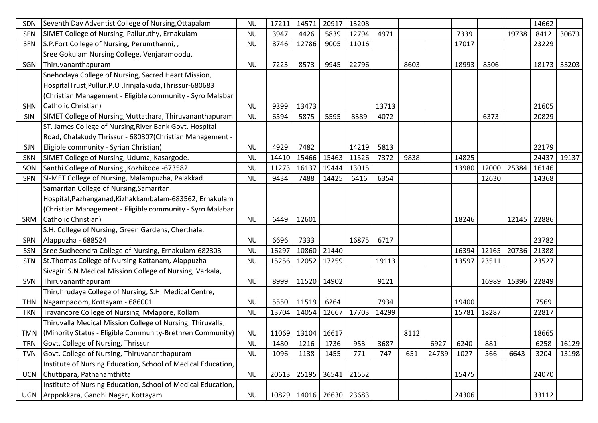| <b>SDN</b> | Seventh Day Adventist College of Nursing, Ottapalam            | <b>NU</b> | 17211 | 14571                 | 20917 | 13208                         |       |      |       |       |       |               | 14662 |             |
|------------|----------------------------------------------------------------|-----------|-------|-----------------------|-------|-------------------------------|-------|------|-------|-------|-------|---------------|-------|-------------|
| <b>SEN</b> | SIMET College of Nursing, Palluruthy, Ernakulam                | <b>NU</b> | 3947  | 4426                  | 5839  | 12794                         | 4971  |      |       | 7339  |       | 19738         | 8412  | 30673       |
| <b>SFN</b> | S.P.Fort College of Nursing, Perumthanni, ,                    | <b>NU</b> | 8746  | 12786                 | 9005  | 11016                         |       |      |       | 17017 |       |               | 23229 |             |
|            | Sree Gokulam Nursing College, Venjaramoodu,                    |           |       |                       |       |                               |       |      |       |       |       |               |       |             |
| SGN        | Thiruvananthapuram                                             | <b>NU</b> | 7223  | 8573                  | 9945  | 22796                         |       | 8603 |       | 18993 | 8506  |               |       | 18173 33203 |
|            | Snehodaya College of Nursing, Sacred Heart Mission,            |           |       |                       |       |                               |       |      |       |       |       |               |       |             |
|            | HospitalTrust, Pullur. P.O., Irinjalakuda, Thrissur-680683     |           |       |                       |       |                               |       |      |       |       |       |               |       |             |
|            | (Christian Management - Eligible community - Syro Malabar      |           |       |                       |       |                               |       |      |       |       |       |               |       |             |
| <b>SHN</b> | Catholic Christian)                                            | <b>NU</b> | 9399  | 13473                 |       |                               | 13713 |      |       |       |       |               | 21605 |             |
| SIN        | SIMET College of Nursing, Muttathara, Thiruvananthapuram       | <b>NU</b> | 6594  | 5875                  | 5595  | 8389                          | 4072  |      |       |       | 6373  |               | 20829 |             |
|            | ST. James College of Nursing, River Bank Govt. Hospital        |           |       |                       |       |                               |       |      |       |       |       |               |       |             |
|            | Road, Chalakudy Thrissur - 680307(Christian Management -       |           |       |                       |       |                               |       |      |       |       |       |               |       |             |
| <b>SJN</b> | Eligible community - Syrian Christian)                         | <b>NU</b> | 4929  | 7482                  |       | 14219                         | 5813  |      |       |       |       |               | 22179 |             |
| <b>SKN</b> | SIMET College of Nursing, Uduma, Kasargode.                    | <b>NU</b> | 14410 | 15466                 | 15463 | 11526                         | 7372  | 9838 |       | 14825 |       |               | 24437 | 19137       |
| SON        | Santhi College of Nursing, Kozhikode -673582                   | <b>NU</b> | 11273 | 16137                 | 19444 | 13015                         |       |      |       | 13980 | 12000 | 25384         | 16146 |             |
| <b>SPN</b> | SI-MET College of Nursing, Malampuzha, Palakkad                | <b>NU</b> | 9434  | 7488                  | 14425 | 6416                          | 6354  |      |       |       | 12630 |               | 14368 |             |
|            | Samaritan College of Nursing, Samaritan                        |           |       |                       |       |                               |       |      |       |       |       |               |       |             |
|            | Hospital, Pazhanganad, Kizhakkambalam-683562, Ernakulam        |           |       |                       |       |                               |       |      |       |       |       |               |       |             |
|            | (Christian Management - Eligible community - Syro Malabar      |           |       |                       |       |                               |       |      |       |       |       |               |       |             |
|            | SRM Catholic Christian)                                        | <b>NU</b> | 6449  | 12601                 |       |                               |       |      |       | 18246 |       | 12145         | 22886 |             |
|            | S.H. College of Nursing, Green Gardens, Cherthala,             |           |       |                       |       |                               |       |      |       |       |       |               |       |             |
| SRN        | Alappuzha - 688524                                             | <b>NU</b> | 6696  | 7333                  |       | 16875                         | 6717  |      |       |       |       |               | 23782 |             |
| SSN        | Sree Sudheendra College of Nursing, Ernakulam-682303           | <b>NU</b> | 16297 | 10860                 | 21440 |                               |       |      |       | 16394 | 12165 | 20736         | 21388 |             |
| <b>STN</b> | St. Thomas College of Nursing Kattanam, Alappuzha              | <b>NU</b> | 15256 | 12052                 | 17259 |                               | 19113 |      |       | 13597 | 23511 |               | 23527 |             |
|            | Sivagiri S.N.Medical Mission College of Nursing, Varkala,      |           |       |                       |       |                               |       |      |       |       |       |               |       |             |
|            | SVN Thiruvananthapuram                                         | <b>NU</b> | 8999  | 11520                 | 14902 |                               | 9121  |      |       |       |       | 16989   15396 | 22849 |             |
|            | Thiruhrudaya College of Nursing, S.H. Medical Centre,          |           |       |                       |       |                               |       |      |       |       |       |               |       |             |
| <b>THN</b> | Nagampadom, Kottayam - 686001                                  | <b>NU</b> | 5550  | 11519                 | 6264  |                               | 7934  |      |       | 19400 |       |               | 7569  |             |
| TKN        | Travancore College of Nursing, Mylapore, Kollam                | <b>NU</b> | 13704 | 14054                 | 12667 | 17703                         | 14299 |      |       | 15781 | 18287 |               | 22817 |             |
|            | Thiruvalla Medical Mission College of Nursing, Thiruvalla,     |           |       |                       |       |                               |       |      |       |       |       |               |       |             |
|            | TMN  (Minority Status - Eligible Community-Brethren Community) | <b>NU</b> |       | 11069   13104   16617 |       |                               |       | 8112 |       |       |       |               | 18665 |             |
| <b>TRN</b> | Govt. College of Nursing, Thrissur                             | <b>NU</b> | 1480  | 1216                  | 1736  | 953                           | 3687  |      | 6927  | 6240  | 881   |               | 6258  | 16129       |
| <b>TVN</b> | Govt. College of Nursing, Thiruvananthapuram                   | <b>NU</b> | 1096  | 1138                  | 1455  | 771                           | 747   | 651  | 24789 | 1027  | 566   | 6643          | 3204  | 13198       |
|            | Institute of Nursing Education, School of Medical Education,   |           |       |                       |       |                               |       |      |       |       |       |               |       |             |
|            | UCN Chuttipara, Pathanamthitta                                 | <b>NU</b> | 20613 | 25195                 | 36541 | 21552                         |       |      |       | 15475 |       |               | 24070 |             |
|            | Institute of Nursing Education, School of Medical Education,   |           |       |                       |       |                               |       |      |       |       |       |               |       |             |
|            | UGN Arppokkara, Gandhi Nagar, Kottayam                         | <b>NU</b> |       |                       |       | 10829   14016   26630   23683 |       |      |       | 24306 |       |               | 33112 |             |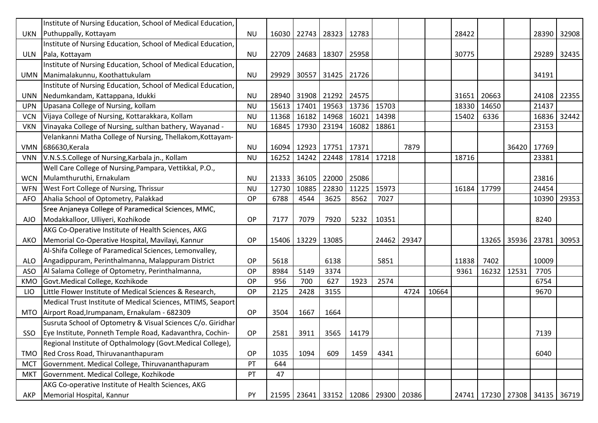|            | Institute of Nursing Education, School of Medical Education,   |           |       |             |                               |            |       |       |       |       |       |       |                                       |             |
|------------|----------------------------------------------------------------|-----------|-------|-------------|-------------------------------|------------|-------|-------|-------|-------|-------|-------|---------------------------------------|-------------|
|            | UKN Puthuppally, Kottayam                                      | <b>NU</b> | 16030 |             | 22743 28323                   | 12783      |       |       |       | 28422 |       |       |                                       | 28390 32908 |
|            | Institute of Nursing Education, School of Medical Education,   |           |       |             |                               |            |       |       |       |       |       |       |                                       |             |
|            | ULN Pala, Kottayam                                             | <b>NU</b> | 22709 | 24683 18307 |                               | 25958      |       |       |       | 30775 |       |       |                                       | 29289 32435 |
|            | Institute of Nursing Education, School of Medical Education,   |           |       |             |                               |            |       |       |       |       |       |       |                                       |             |
|            | UMN Manimalakunnu, Koothattukulam                              | <b>NU</b> | 29929 |             | 30557 31425 21726             |            |       |       |       |       |       |       | 34191                                 |             |
|            | Institute of Nursing Education, School of Medical Education,   |           |       |             |                               |            |       |       |       |       |       |       |                                       |             |
| <b>UNN</b> | Nedumkandam, Kattappana, Idukki                                | <b>NU</b> | 28940 |             | 31908 21292 24575             |            |       |       |       | 31651 | 20663 |       |                                       | 24108 22355 |
| <b>UPN</b> | Upasana College of Nursing, kollam                             | <b>NU</b> | 15613 | 17401       | 19563                         | 13736      | 15703 |       |       | 18330 | 14650 |       | 21437                                 |             |
| <b>VCN</b> | Vijaya College of Nursing, Kottarakkara, Kollam                | <b>NU</b> | 11368 | 16182       | 14968                         | 16021      | 14398 |       |       | 15402 | 6336  |       | 16836                                 | 32442       |
| <b>VKN</b> | Vinayaka College of Nursing, sulthan bathery, Wayanad -        | <b>NU</b> | 16845 | 17930       | 23194                         | 16082      | 18861 |       |       |       |       |       | 23153                                 |             |
|            | Velankanni Matha College of Nursing, Thellakom, Kottayam-      |           |       |             |                               |            |       |       |       |       |       |       |                                       |             |
|            | VMN 686630, Kerala                                             | <b>NU</b> | 16094 |             | 12923   17751   17371         |            |       | 7879  |       |       |       | 36420 | 17769                                 |             |
| <b>VNN</b> | V.N.S.S.College of Nursing, Karbala jn., Kollam                | <b>NU</b> | 16252 | 14242       | 22448                         | 17814      | 17218 |       |       | 18716 |       |       | 23381                                 |             |
|            | Well Care College of Nursing, Pampara, Vettikkal, P.O.,        |           |       |             |                               |            |       |       |       |       |       |       |                                       |             |
| <b>WCN</b> | Mulamthuruthi, Ernakulam                                       | <b>NU</b> | 21333 | 36105       | 22000                         | 25086      |       |       |       |       |       |       | 23816                                 |             |
| <b>WFN</b> | West Fort College of Nursing, Thrissur                         | <b>NU</b> | 12730 | 10885       | 22830                         | 11225      | 15973 |       |       | 16184 | 17799 |       | 24454                                 |             |
| <b>AFO</b> | Ahalia School of Optometry, Palakkad                           | <b>OP</b> | 6788  | 4544        | 3625                          | 8562       | 7027  |       |       |       |       |       | 10390                                 | 29353       |
|            | Sree Anjaneya College of Paramedical Sciences, MMC,            |           |       |             |                               |            |       |       |       |       |       |       |                                       |             |
| AJO -      | Modakkalloor, Ulliyeri, Kozhikode                              | <b>OP</b> | 7177  | 7079        | 7920                          | 5232       | 10351 |       |       |       |       |       | 8240                                  |             |
|            | AKG Co-Operative Institute of Health Sciences, AKG             |           |       |             |                               |            |       |       |       |       |       |       |                                       |             |
| AKO        | Memorial Co-Operative Hospital, Mavilayi, Kannur               | <b>OP</b> | 15406 | 13229       | 13085                         |            | 24462 | 29347 |       |       | 13265 | 35936 | 23781                                 | 30953       |
|            | Al-Shifa College of Paramedical Sciences, Lemonvalley,         |           |       |             |                               |            |       |       |       |       |       |       |                                       |             |
| <b>ALO</b> | Angadippuram, Perinthalmanna, Malappuram District              | OP        | 5618  |             | 6138                          |            | 5851  |       |       | 11838 | 7402  |       | 10009                                 |             |
| ASO        | Al Salama College of Optometry, Perinthalmanna,                | OP        | 8984  | 5149        | 3374                          |            |       |       |       | 9361  | 16232 | 12531 | 7705                                  |             |
| KMO        | Govt.Medical College, Kozhikode                                | <b>OP</b> | 956   | 700         | 627                           | 1923       | 2574  |       |       |       |       |       | 6754                                  |             |
| <b>LIO</b> | Little Flower Institute of Medical Sciences & Research,        | <b>OP</b> | 2125  | 2428        | 3155                          |            |       | 4724  | 10664 |       |       |       | 9670                                  |             |
|            | Medical Trust Institute of Medical Sciences, MTIMS, Seaport    |           |       |             |                               |            |       |       |       |       |       |       |                                       |             |
|            | MTO   Airport Road, Irumpanam, Ernakulam - 682309              | OP        | 3504  | 1667        | 1664                          |            |       |       |       |       |       |       |                                       |             |
|            | Susruta School of Optometry & Visual Sciences C/o. Giridhar    |           |       |             |                               |            |       |       |       |       |       |       |                                       |             |
|            | SSO   Eye Institute, Ponneth Temple Road, Kadavanthra, Cochin- | OP        | 2581  | 3911        |                               | 3565 14179 |       |       |       |       |       |       | 7139                                  |             |
|            | Regional Institute of Opthalmology (Govt.Medical College),     |           |       |             |                               |            |       |       |       |       |       |       |                                       |             |
| TMO        | Red Cross Road, Thiruvananthapuram                             | <b>OP</b> | 1035  | 1094        | 609                           | 1459       | 4341  |       |       |       |       |       | 6040                                  |             |
| <b>MCT</b> | Government. Medical College, Thiruvananthapuram                | PT        | 644   |             |                               |            |       |       |       |       |       |       |                                       |             |
| <b>MKT</b> | Government. Medical College, Kozhikode                         | PT        | 47    |             |                               |            |       |       |       |       |       |       |                                       |             |
|            | AKG Co-operative Institute of Health Sciences, AKG             |           |       |             |                               |            |       |       |       |       |       |       |                                       |             |
| AKP        | Memorial Hospital, Kannur                                      | PY        | 21595 |             | 23641 33152 12086 29300 20386 |            |       |       |       |       |       |       | 24741   17230   27308   34135   36719 |             |